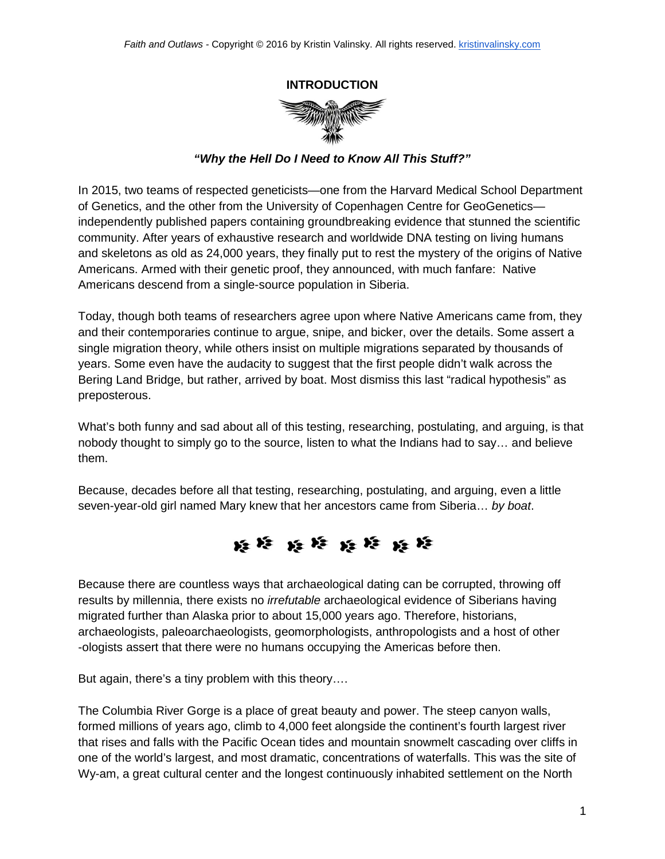## **INTRODUCTION**



*"Why the Hell Do I Need to Know All This Stuff?"*

In 2015, two teams of respected geneticists—one from the Harvard Medical School Department of Genetics, and the other from the University of Copenhagen Centre for GeoGenetics independently published papers containing groundbreaking evidence that stunned the scientific community. After years of exhaustive research and worldwide DNA testing on living humans and skeletons as old as 24,000 years, they finally put to rest the mystery of the origins of Native Americans. Armed with their genetic proof, they announced, with much fanfare: Native Americans descend from a single-source population in Siberia.

Today, though both teams of researchers agree upon where Native Americans came from, they and their contemporaries continue to argue, snipe, and bicker, over the details. Some assert a single migration theory, while others insist on multiple migrations separated by thousands of years. Some even have the audacity to suggest that the first people didn't walk across the Bering Land Bridge, but rather, arrived by boat. Most dismiss this last "radical hypothesis" as preposterous.

What's both funny and sad about all of this testing, researching, postulating, and arguing, is that nobody thought to simply go to the source, listen to what the Indians had to say… and believe them.

Because, decades before all that testing, researching, postulating, and arguing, even a little seven-year-old girl named Mary knew that her ancestors came from Siberia… *by boat*.



Because there are countless ways that archaeological dating can be corrupted, throwing off results by millennia, there exists no *irrefutable* archaeological evidence of Siberians having migrated further than Alaska prior to about 15,000 years ago. Therefore, historians, archaeologists, paleoarchaeologists, geomorphologists, anthropologists and a host of other -ologists assert that there were no humans occupying the Americas before then.

But again, there's a tiny problem with this theory….

The Columbia River Gorge is a place of great beauty and power. The steep canyon walls, formed millions of years ago, climb to 4,000 feet alongside the continent's fourth largest river that rises and falls with the Pacific Ocean tides and mountain snowmelt cascading over cliffs in one of the world's largest, and most dramatic, concentrations of waterfalls. This was the site of Wy-am, a great cultural center and the longest continuously inhabited settlement on the North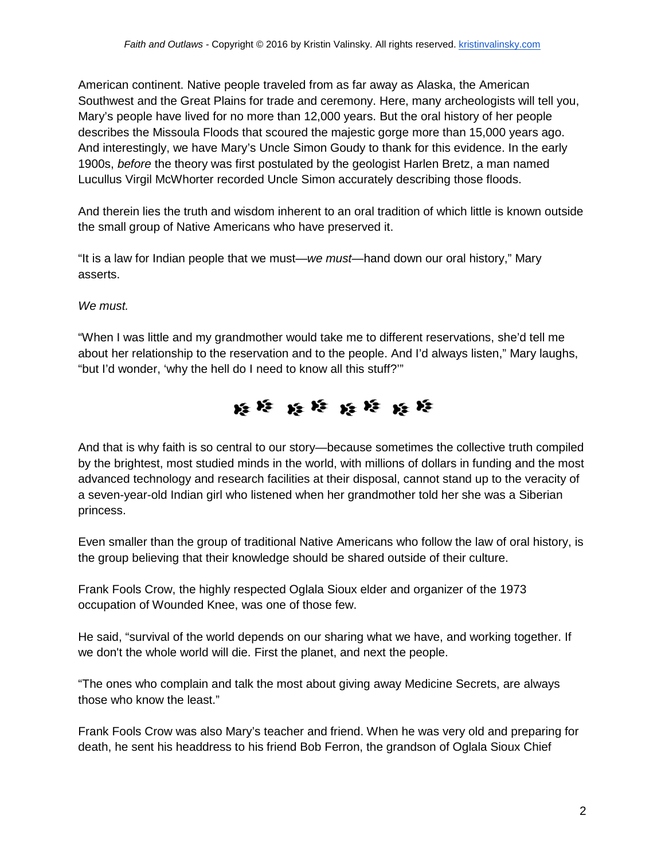American continent. Native people traveled from as far away as Alaska, the American Southwest and the Great Plains for trade and ceremony. Here, many archeologists will tell you, Mary's people have lived for no more than 12,000 years. But the oral history of her people describes the Missoula Floods that scoured the majestic gorge more than 15,000 years ago. And interestingly, we have Mary's Uncle Simon Goudy to thank for this evidence. In the early 1900s, *before* the theory was first postulated by the geologist Harlen Bretz, a man named Lucullus Virgil McWhorter recorded Uncle Simon accurately describing those floods.

And therein lies the truth and wisdom inherent to an oral tradition of which little is known outside the small group of Native Americans who have preserved it.

"It is a law for Indian people that we must—*we must*—hand down our oral history," Mary asserts.

## *We must.*

"When I was little and my grandmother would take me to different reservations, she'd tell me about her relationship to the reservation and to the people. And I'd always listen," Mary laughs, "but I'd wonder, 'why the hell do I need to know all this stuff?'"



And that is why faith is so central to our story—because sometimes the collective truth compiled by the brightest, most studied minds in the world, with millions of dollars in funding and the most advanced technology and research facilities at their disposal, cannot stand up to the veracity of a seven-year-old Indian girl who listened when her grandmother told her she was a Siberian princess.

Even smaller than the group of traditional Native Americans who follow the law of oral history, is the group believing that their knowledge should be shared outside of their culture.

Frank Fools Crow, the highly respected Oglala Sioux elder and organizer of the 1973 occupation of Wounded Knee, was one of those few.

He said, "survival of the world depends on our sharing what we have, and working together. If we don't the whole world will die. First the planet, and next the people.

"The ones who complain and talk the most about giving away Medicine Secrets, are always those who know the least."

Frank Fools Crow was also Mary's teacher and friend. When he was very old and preparing for death, he sent his headdress to his friend Bob Ferron, the grandson of Oglala Sioux Chief